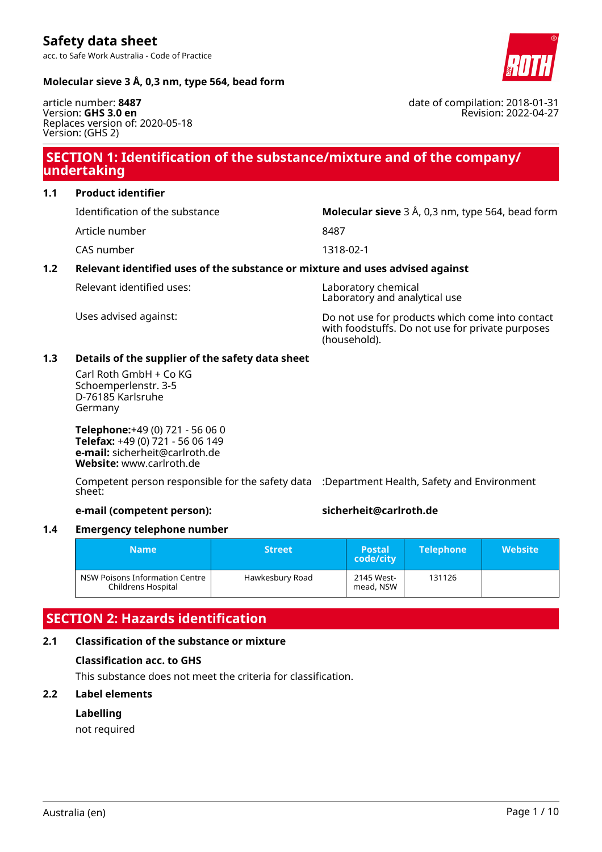date of compilation: 2018-01-31

Revision: 2022-04-27

### **Molecular sieve 3 Å, 0,3 nm, type 564, bead form**

article number: **8487** Version: **GHS 3.0 en** Replaces version of: 2020-05-18 Version: (GHS 2)

## **SECTION 1: Identification of the substance/mixture and of the company/ undertaking**

**1.1 Product identifier**

Article number 8487

CAS number 1318-02-1

Identification of the substance **Molecular sieve** 3 Å, 0,3 nm, type 564, bead form

### **1.2 Relevant identified uses of the substance or mixture and uses advised against**

Relevant identified uses: Laboratory chemical

Laboratory and analytical use

Uses advised against: Do not use for products which come into contact with foodstuffs. Do not use for private purposes (household).

### **1.3 Details of the supplier of the safety data sheet**

Carl Roth GmbH + Co KG Schoemperlenstr. 3-5 D-76185 Karlsruhe Germany

**Telephone:**+49 (0) 721 - 56 06 0 **Telefax:** +49 (0) 721 - 56 06 149 **e-mail:** sicherheit@carlroth.de **Website:** www.carlroth.de

Competent person responsible for the safety data :Department Health, Safety and Environment sheet:

**e-mail (competent person): sicherheit@carlroth.de**

### **1.4 Emergency telephone number**

| <b>Name</b>                                          | <b>Street</b>   | <b>Postal</b><br>code/city | <b>Telephone</b> | <b>Website</b> |
|------------------------------------------------------|-----------------|----------------------------|------------------|----------------|
| NSW Poisons Information Centre<br>Childrens Hospital | Hawkesbury Road | 2145 West-<br>mead, NSW    | 131126           |                |

# **SECTION 2: Hazards identification**

### **2.1 Classification of the substance or mixture**

#### **Classification acc. to GHS**

This substance does not meet the criteria for classification.

### **2.2 Label elements**

### **Labelling**

not required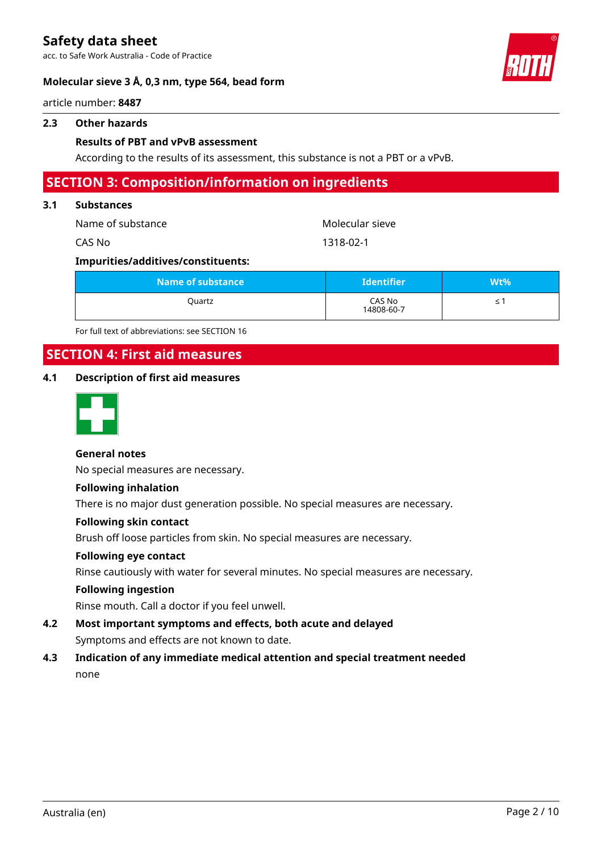acc. to Safe Work Australia - Code of Practice

#### **Molecular sieve 3 Å, 0,3 nm, type 564, bead form**



article number: **8487**

#### **2.3 Other hazards**

#### **Results of PBT and vPvB assessment**

According to the results of its assessment, this substance is not a PBT or a vPvB.

### **SECTION 3: Composition/information on ingredients**

#### **3.1 Substances**

| Name of substance l | Molecular sieve |
|---------------------|-----------------|
| CAS No              | 1318-02-1       |

#### **Impurities/additives/constituents:**

| Name of substance | <b>Identifier</b>    | Wt% |
|-------------------|----------------------|-----|
| Quartz            | CAS No<br>14808-60-7 |     |

For full text of abbreviations: see SECTION 16

## **SECTION 4: First aid measures**

### **4.1 Description of first aid measures**



#### **General notes**

No special measures are necessary.

#### **Following inhalation**

There is no major dust generation possible. No special measures are necessary.

#### **Following skin contact**

Brush off loose particles from skin. No special measures are necessary.

#### **Following eye contact**

Rinse cautiously with water for several minutes. No special measures are necessary.

#### **Following ingestion**

Rinse mouth. Call a doctor if you feel unwell.

- **4.2 Most important symptoms and effects, both acute and delayed** Symptoms and effects are not known to date.
- **4.3 Indication of any immediate medical attention and special treatment needed** none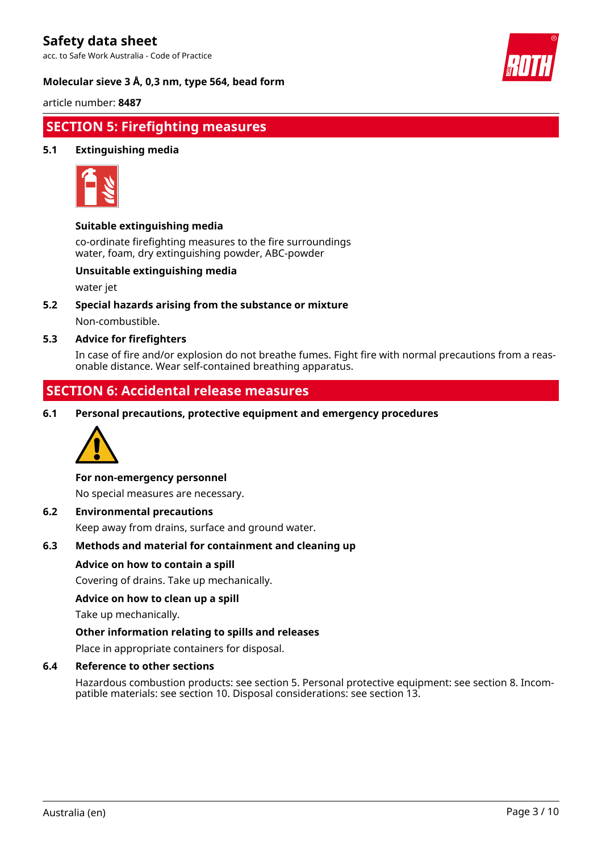acc. to Safe Work Australia - Code of Practice

#### **Molecular sieve 3 Å, 0,3 nm, type 564, bead form**



article number: **8487**

# **SECTION 5: Firefighting measures**

### **5.1 Extinguishing media**



#### **Suitable extinguishing media**

co-ordinate firefighting measures to the fire surroundings water, foam, dry extinguishing powder, ABC-powder

#### **Unsuitable extinguishing media**

water jet

**5.2 Special hazards arising from the substance or mixture** Non-combustible.

#### **5.3 Advice for firefighters**

In case of fire and/or explosion do not breathe fumes. Fight fire with normal precautions from a reasonable distance. Wear self-contained breathing apparatus.

### **SECTION 6: Accidental release measures**

**6.1 Personal precautions, protective equipment and emergency procedures**



#### **For non-emergency personnel**

No special measures are necessary.

#### **6.2 Environmental precautions**

Keep away from drains, surface and ground water.

#### **6.3 Methods and material for containment and cleaning up**

#### **Advice on how to contain a spill**

Covering of drains. Take up mechanically.

#### **Advice on how to clean up a spill**

Take up mechanically.

#### **Other information relating to spills and releases**

Place in appropriate containers for disposal.

#### **6.4 Reference to other sections**

Hazardous combustion products: see section 5. Personal protective equipment: see section 8. Incompatible materials: see section 10. Disposal considerations: see section 13.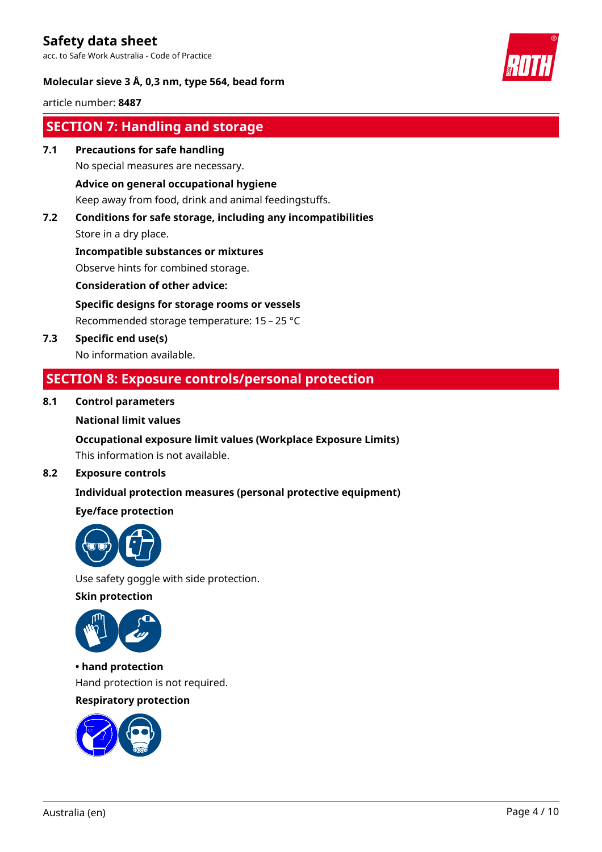acc. to Safe Work Australia - Code of Practice



### **Molecular sieve 3 Å, 0,3 nm, type 564, bead form**

article number: **8487**

# **SECTION 7: Handling and storage**

**7.1 Precautions for safe handling**

No special measures are necessary.

### **Advice on general occupational hygiene**

Keep away from food, drink and animal feedingstuffs.

### **7.2 Conditions for safe storage, including any incompatibilities** Store in a dry place.

**Incompatible substances or mixtures** Observe hints for combined storage.

**Consideration of other advice:**

**Specific designs for storage rooms or vessels**

Recommended storage temperature: 15 – 25 °C

**7.3 Specific end use(s)** No information available.

## **SECTION 8: Exposure controls/personal protection**

### **8.1 Control parameters**

### **National limit values**

### **Occupational exposure limit values (Workplace Exposure Limits)** This information is not available.

### **8.2 Exposure controls**

## **Individual protection measures (personal protective equipment)**

### **Eye/face protection**



Use safety goggle with side protection.

### **Skin protection**



**• hand protection** Hand protection is not required.

### **Respiratory protection**

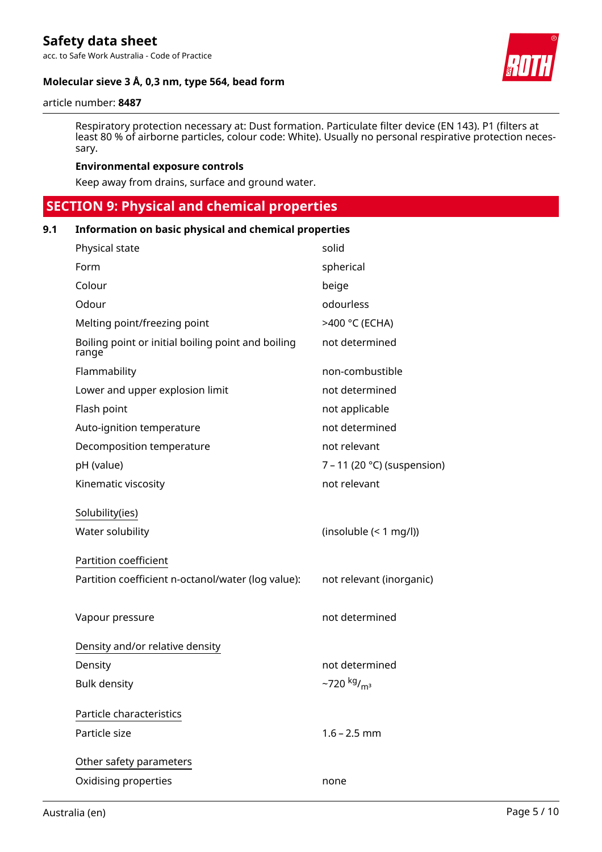acc. to Safe Work Australia - Code of Practice

### **Molecular sieve 3 Å, 0,3 nm, type 564, bead form**



#### article number: **8487**

Respiratory protection necessary at: Dust formation. Particulate filter device (EN 143). P1 (filters at least 80 % of airborne particles, colour code: White). Usually no personal respirative protection necessary.

#### **Environmental exposure controls**

Keep away from drains, surface and ground water.

# **SECTION 9: Physical and chemical properties**

### **9.1 Information on basic physical and chemical properties**

| Physical state                                              | solid                               |
|-------------------------------------------------------------|-------------------------------------|
| Form                                                        | spherical                           |
| Colour                                                      | beige                               |
| Odour                                                       | odourless                           |
| Melting point/freezing point                                | >400 °C (ECHA)                      |
| Boiling point or initial boiling point and boiling<br>range | not determined                      |
| Flammability                                                | non-combustible                     |
| Lower and upper explosion limit                             | not determined                      |
| Flash point                                                 | not applicable                      |
| Auto-ignition temperature                                   | not determined                      |
| Decomposition temperature                                   | not relevant                        |
| pH (value)                                                  | 7 – 11 (20 °C) (suspension)         |
| Kinematic viscosity                                         | not relevant                        |
| Solubility(ies)                                             |                                     |
| Water solubility                                            | (insoluble (< 1 mg/l))              |
| <b>Partition coefficient</b>                                |                                     |
| Partition coefficient n-octanol/water (log value):          | not relevant (inorganic)            |
|                                                             |                                     |
| Vapour pressure                                             | not determined                      |
| Density and/or relative density                             |                                     |
| Density                                                     | not determined                      |
| <b>Bulk density</b>                                         | $-720$ kg/ <sub>m<sup>3</sup></sub> |
| Particle characteristics                                    |                                     |
|                                                             |                                     |
| Particle size                                               | $1.6 - 2.5$ mm                      |
| Other safety parameters                                     |                                     |
| Oxidising properties                                        | none                                |
|                                                             |                                     |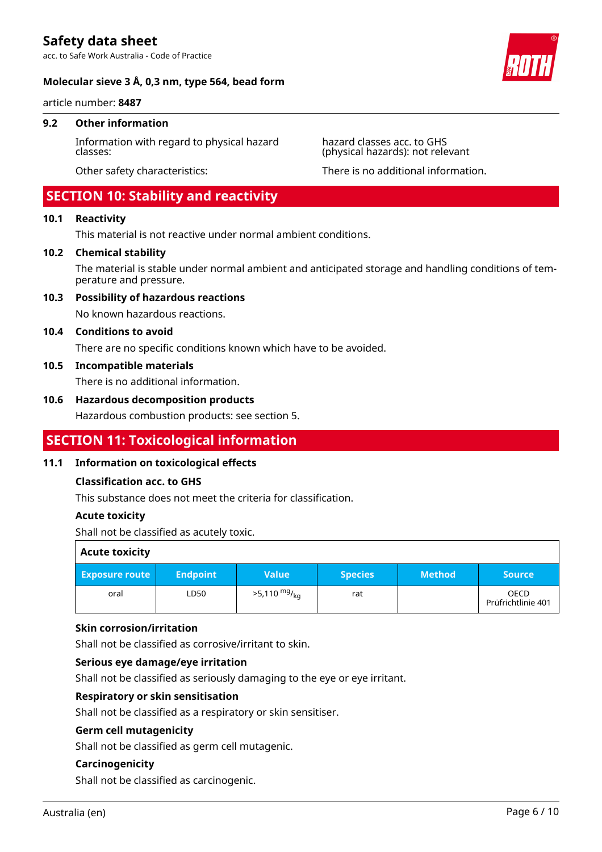acc. to Safe Work Australia - Code of Practice

#### **Molecular sieve 3 Å, 0,3 nm, type 564, bead form**

article number: **8487**

#### **9.2 Other information**

Information with regard to physical hazard classes:

### **SECTION 10: Stability and reactivity**

### **10.1 Reactivity**

This material is not reactive under normal ambient conditions.

#### **10.2 Chemical stability**

The material is stable under normal ambient and anticipated storage and handling conditions of temperature and pressure.

#### **10.3 Possibility of hazardous reactions**

No known hazardous reactions.

#### **10.4 Conditions to avoid**

There are no specific conditions known which have to be avoided.

#### **10.5 Incompatible materials**

There is no additional information.

#### **10.6 Hazardous decomposition products**

Hazardous combustion products: see section 5.

### **SECTION 11: Toxicological information**

#### **11.1 Information on toxicological effects**

#### **Classification acc. to GHS**

This substance does not meet the criteria for classification.

#### **Acute toxicity**

Shall not be classified as acutely toxic.

| <b>Acute toxicity</b> |                 |                        |                |               |                                   |
|-----------------------|-----------------|------------------------|----------------|---------------|-----------------------------------|
| <b>Exposure route</b> | <b>Endpoint</b> | <b>Value</b>           | <b>Species</b> | <b>Method</b> | <b>Source</b>                     |
| oral                  | LD50            | $>5,110 \frac{mg}{kg}$ | rat            |               | <b>OECD</b><br>Prüfrichtlinie 401 |

#### **Skin corrosion/irritation**

Shall not be classified as corrosive/irritant to skin.

#### **Serious eye damage/eye irritation**

Shall not be classified as seriously damaging to the eye or eye irritant.

#### **Respiratory or skin sensitisation**

Shall not be classified as a respiratory or skin sensitiser.

#### **Germ cell mutagenicity**

Shall not be classified as germ cell mutagenic.

#### **Carcinogenicity**

Shall not be classified as carcinogenic.



hazard classes acc. to GHS (physical hazards): not relevant

Other safety characteristics: There is no additional information.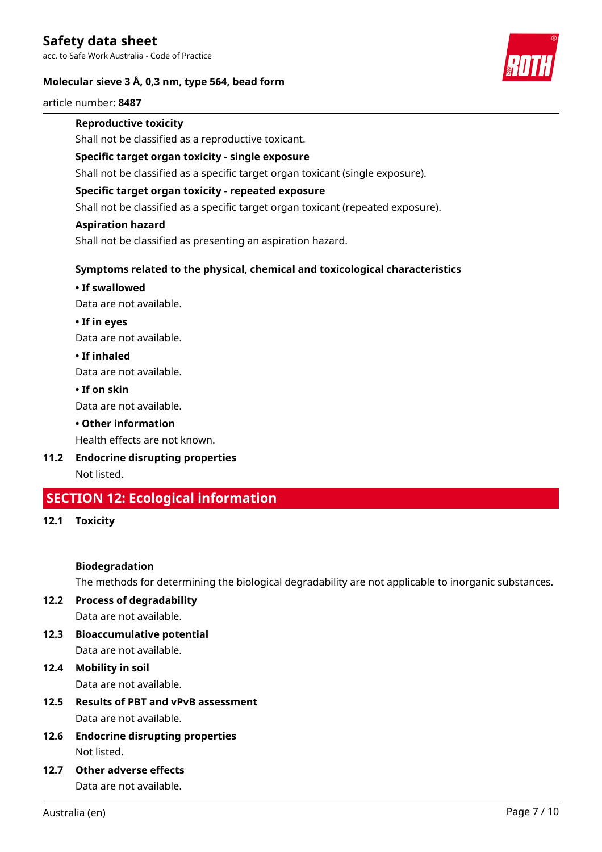acc. to Safe Work Australia - Code of Practice

### **Molecular sieve 3 Å, 0,3 nm, type 564, bead form**



article number: **8487**

### **Reproductive toxicity**

Shall not be classified as a reproductive toxicant.

### **Specific target organ toxicity - single exposure**

Shall not be classified as a specific target organ toxicant (single exposure).

#### **Specific target organ toxicity - repeated exposure**

Shall not be classified as a specific target organ toxicant (repeated exposure).

#### **Aspiration hazard**

Shall not be classified as presenting an aspiration hazard.

### **Symptoms related to the physical, chemical and toxicological characteristics**

### **• If swallowed**

Data are not available.

**• If in eyes**

Data are not available.

#### **• If inhaled**

Data are not available.

### **• If on skin**

Data are not available.

### **• Other information**

Health effects are not known.

**11.2 Endocrine disrupting properties** Not listed.

# **SECTION 12: Ecological information**

**12.1 Toxicity**

### **Biodegradation**

The methods for determining the biological degradability are not applicable to inorganic substances.

# **12.2 Process of degradability**

Data are not available.

- **12.3 Bioaccumulative potential** Data are not available.
- **12.4 Mobility in soil** Data are not available.
- **12.5 Results of PBT and vPvB assessment** Data are not available.
- **12.6 Endocrine disrupting properties** Not listed.
- **12.7 Other adverse effects** Data are not available.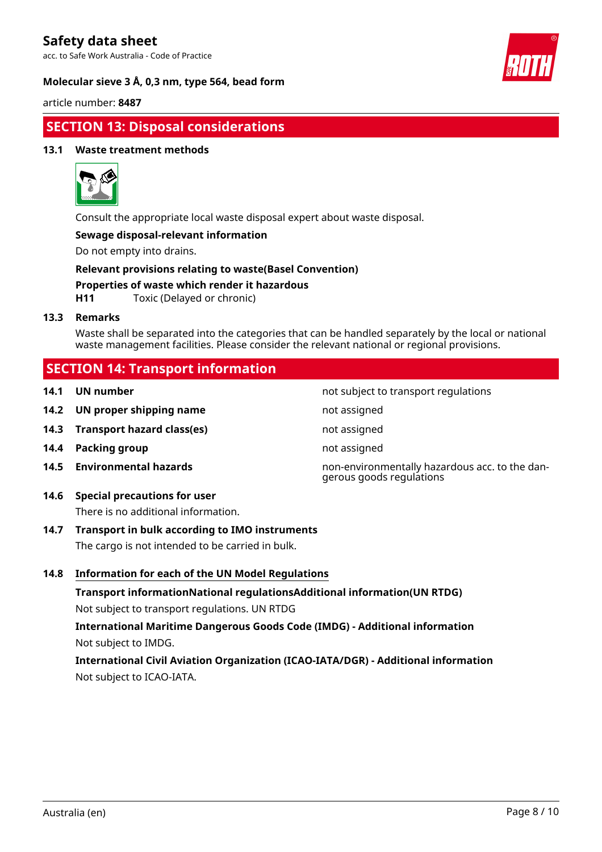acc. to Safe Work Australia - Code of Practice

### **Molecular sieve 3 Å, 0,3 nm, type 564, bead form**



article number: **8487**

# **SECTION 13: Disposal considerations**

### **13.1 Waste treatment methods**



Consult the appropriate local waste disposal expert about waste disposal.

### **Sewage disposal-relevant information**

Do not empty into drains.

**Relevant provisions relating to waste(Basel Convention) Properties of waste which render it hazardous**

**H11** Toxic (Delayed or chronic)

#### **13.3 Remarks**

Waste shall be separated into the categories that can be handled separately by the local or national waste management facilities. Please consider the relevant national or regional provisions.

### **SECTION 14: Transport information**

- 
- **14.2 UN proper shipping name** not assigned
- **14.3 Transport hazard class(es)** not assigned
- **14.4 Packing group not assigned**
- 

**14.6 Special precautions for user** There is no additional information.

- **14.7 Transport in bulk according to IMO instruments** The cargo is not intended to be carried in bulk.
- **14.8 Information for each of the UN Model Regulations**

**Transport informationNational regulationsAdditional information(UN RTDG)** Not subject to transport regulations. UN RTDG

**International Maritime Dangerous Goods Code (IMDG) - Additional information** Not subject to IMDG.

**International Civil Aviation Organization (ICAO-IATA/DGR) - Additional information** Not subject to ICAO-IATA.

**14.1 UN number 14.1 UN number not subject to transport regulations** 

**14.5 Environmental hazards** non-environmentally hazardous acc. to the dangerous goods regulations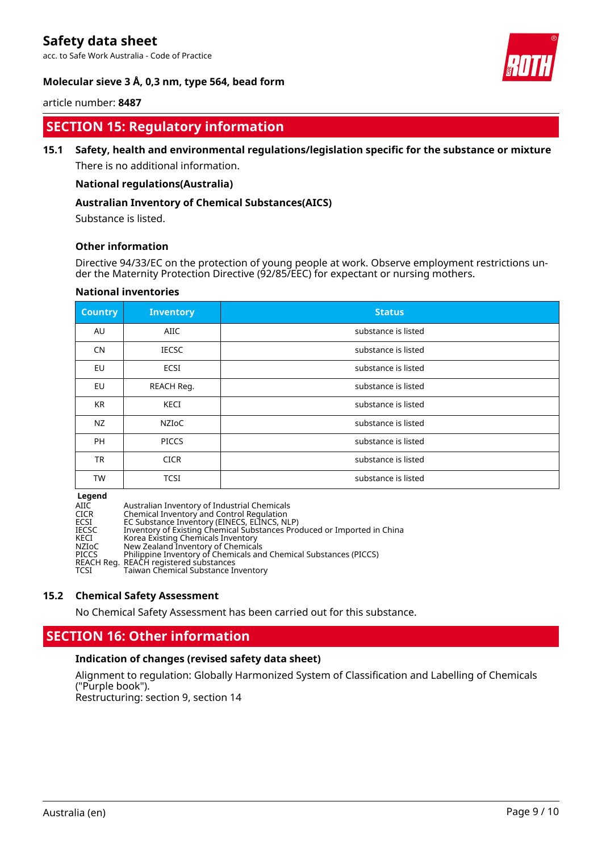acc. to Safe Work Australia - Code of Practice



### **Molecular sieve 3 Å, 0,3 nm, type 564, bead form**

#### article number: **8487**

# **SECTION 15: Regulatory information**

### **15.1 Safety, health and environmental regulations/legislation specific for the substance or mixture**

There is no additional information.

#### **National regulations(Australia)**

### **Australian Inventory of Chemical Substances(AICS)**

Substance is listed.

### **Other information**

Directive 94/33/EC on the protection of young people at work. Observe employment restrictions under the Maternity Protection Directive (92/85/EEC) for expectant or nursing mothers.

| <b>Country</b> | <b>Inventory</b> | <b>Status</b>       |
|----------------|------------------|---------------------|
| AU             | <b>AIIC</b>      | substance is listed |
| <b>CN</b>      | <b>IECSC</b>     | substance is listed |
| <b>EU</b>      | <b>ECSI</b>      | substance is listed |
| EU             | REACH Reg.       | substance is listed |
| KR             | KECI             | substance is listed |
| NZ             | <b>NZIOC</b>     | substance is listed |
| <b>PH</b>      | <b>PICCS</b>     | substance is listed |
| <b>TR</b>      | <b>CICR</b>      | substance is listed |
| <b>TW</b>      | <b>TCSI</b>      | substance is listed |

#### **National inventories**

**Legend**<br>AIIC<br>CICR AIIC Australian Inventory of Industrial Chemicals CICR Chemical Inventory and Control Regulation ECSI EC Substance Inventory (EINECS, ELINCS, NLP) IECSC Inventory of Existing Chemical Substances Produced or Imported in China KECI Korea Existing Chemicals Inventory NZIoC New Zealand Inventory of Chemicals PICCS Philippine Inventory of Chemicals and Chemical Substances (PICCS) REACH Reg. REACH registered substances TCSI Taiwan Chemical Substance Inventory

#### **15.2 Chemical Safety Assessment**

No Chemical Safety Assessment has been carried out for this substance.

## **SECTION 16: Other information**

### **Indication of changes (revised safety data sheet)**

Alignment to regulation: Globally Harmonized System of Classification and Labelling of Chemicals ("Purple book"). Restructuring: section 9, section 14